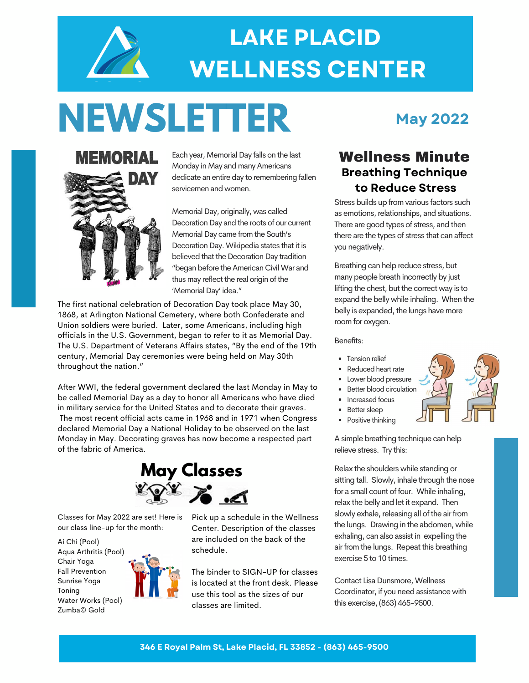

### **LAKE PLACID WELLNESS CENTER**

# **NEWSLETTER**

**MEMORIAL** DAY

Each year, Memorial Day falls on the last **Wellness Minute** Monday in May and many Americans dedicate an entire day to remembering fallen servicemen andwomen.

Memorial Day, originally, was called Decoration Day and the roots of our current Memorial Day came from the South's Decoration Day. Wikipedia states that it is believed that the Decoration Day tradition "began before the American Civil War and thus may reflect the real origin of the 'Memorial Day' idea."

The first national celebration of Decoration Day took place May 30, 1868, at Arlington National Cemetery, where both Confederate and Union soldiers were buried. Later, some Americans, including high officials in the U.S. Government, began to refer to it as Memorial Day. The U.S. Department of Veterans Affairs states, "By the end of the 19th century, Memorial Day ceremonies were being held on May 30th throughout the nation."

After WWI, the federal government declared the last Monday in May to be called Memorial Day as a day to honor all Americans who have died in military service for the United States and to decorate their graves. The most recent official acts came in 1968 and in 1971 when Congress declared Memorial Day a National Holiday to be observed on the last Monday in May. Decorating graves has now become a respected part of the fabric of America.



Classes for May 2022 are set! Here is our class line-up for the month:

Ai Chi (Pool) Aqua Arthritis (Pool) Chair Yoga Fall Prevention Sunrise Yoga Toning Water Works (Pool) Zumba© Gold



Pick up a schedule in the Wellness Center. Description of the classes are included on the back of the schedule.

The binder to SIGN-UP for classes is located at the front desk. Please use this tool as the sizes of our classes are limited.

### **May 2022**

### **Breathing Technique to Reduce Stress**

Stress builds up from various factors such as emotions, relationships, and situations. There are good types of stress, and then there are the types of stress that can affect you negatively.

Breathing can help reduce stress, but many people breath incorrectly by just lifting the chest, but the correct way is to expand the belly while inhaling. When the belly is expanded, the lungs have more room for oxygen.

Benefits:

- Tension relief
- Reduced heart rate
- Lower blood pressure
- Better blood circulation
- Increased focus
- Better sleep
- Positive thinking

A simple breathing technique can help relieve stress. Try this:

Relax the shoulders while standing or sitting tall. Slowly, inhale through the nose for a small count of four. While inhaling, relax the belly and let it expand. Then slowly exhale, releasing all of the air from the lungs. Drawing in the abdomen, while exhaling, can also assist in expelling the air from the lungs. Repeat this breathing exercise 5 to 10 times.

Contact Lisa Dunsmore, Wellness Coordinator, if you need assistance with this exercise,(863) 465-9500.



**346 E Royal Palm St, Lake Placid, FL 33852 - (863) 465-9500**